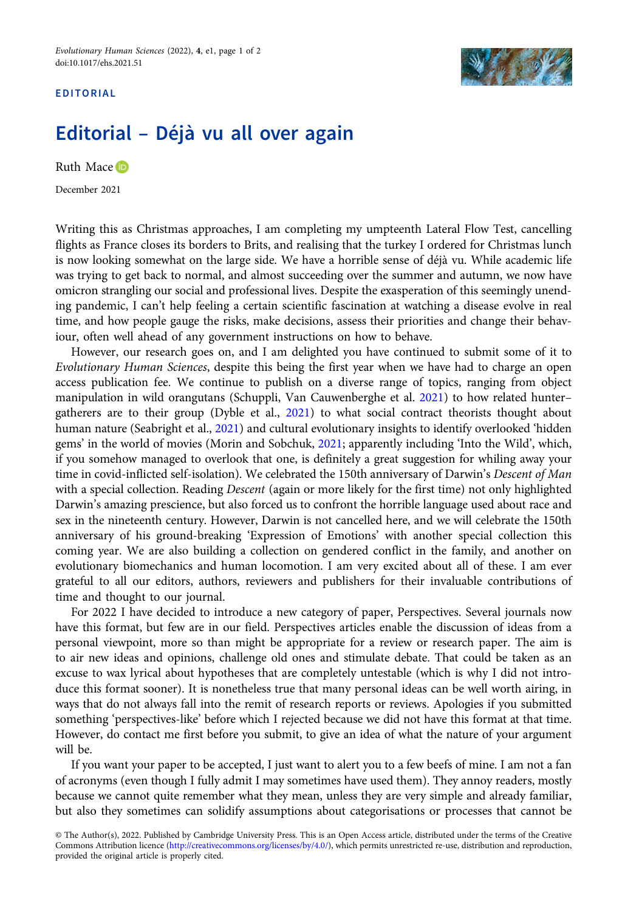## EDITORIAL



## Editorial – Déjà vu all over again

Ruth Mace **D** 

December 2021

Writing this as Christmas approaches, I am completing my umpteenth Lateral Flow Test, cancelling flights as France closes its borders to Brits, and realising that the turkey I ordered for Christmas lunch is now looking somewhat on the large side. We have a horrible sense of déjà vu. While academic life was trying to get back to normal, and almost succeeding over the summer and autumn, we now have omicron strangling our social and professional lives. Despite the exasperation of this seemingly unending pandemic, I can't help feeling a certain scientific fascination at watching a disease evolve in real time, and how people gauge the risks, make decisions, assess their priorities and change their behaviour, often well ahead of any government instructions on how to behave.

However, our research goes on, and I am delighted you have continued to submit some of it to Evolutionary Human Sciences, despite this being the first year when we have had to charge an open access publication fee. We continue to publish on a diverse range of topics, ranging from object manipulation in wild orangutans (Schuppli, Van Cauwenberghe et al. [2021](#page-1-0)) to how related hunter– gatherers are to their group (Dyble et al., [2021](#page-1-0)) to what social contract theorists thought about human nature (Seabright et al., [2021](#page-1-0)) and cultural evolutionary insights to identify overlooked 'hidden gems' in the world of movies (Morin and Sobchuk, [2021](#page-1-0); apparently including 'Into the Wild', which, if you somehow managed to overlook that one, is definitely a great suggestion for whiling away your time in covid-inflicted self-isolation). We celebrated the 150th anniversary of Darwin's Descent of Man with a special collection. Reading *Descent* (again or more likely for the first time) not only highlighted Darwin's amazing prescience, but also forced us to confront the horrible language used about race and sex in the nineteenth century. However, Darwin is not cancelled here, and we will celebrate the 150th anniversary of his ground-breaking 'Expression of Emotions' with another special collection this coming year. We are also building a collection on gendered conflict in the family, and another on evolutionary biomechanics and human locomotion. I am very excited about all of these. I am ever grateful to all our editors, authors, reviewers and publishers for their invaluable contributions of time and thought to our journal.

For 2022 I have decided to introduce a new category of paper, Perspectives. Several journals now have this format, but few are in our field. Perspectives articles enable the discussion of ideas from a personal viewpoint, more so than might be appropriate for a review or research paper. The aim is to air new ideas and opinions, challenge old ones and stimulate debate. That could be taken as an excuse to wax lyrical about hypotheses that are completely untestable (which is why I did not introduce this format sooner). It is nonetheless true that many personal ideas can be well worth airing, in ways that do not always fall into the remit of research reports or reviews. Apologies if you submitted something 'perspectives-like' before which I rejected because we did not have this format at that time. However, do contact me first before you submit, to give an idea of what the nature of your argument will be.

If you want your paper to be accepted, I just want to alert you to a few beefs of mine. I am not a fan of acronyms (even though I fully admit I may sometimes have used them). They annoy readers, mostly because we cannot quite remember what they mean, unless they are very simple and already familiar, but also they sometimes can solidify assumptions about categorisations or processes that cannot be

<sup>©</sup> The Author(s), 2022. Published by Cambridge University Press. This is an Open Access article, distributed under the terms of the Creative Commons Attribution licence [\(http://creativecommons.org/licenses/by/4.0/](http://creativecommons.org/licenses/by/4.0/)), which permits unrestricted re-use, distribution and reproduction, provided the original article is properly cited.